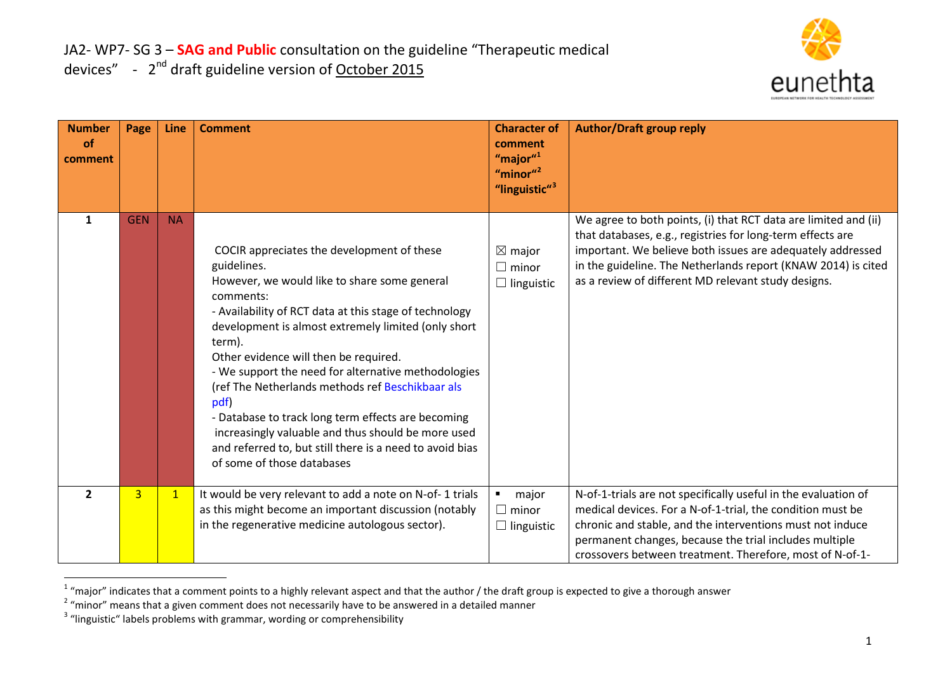<span id="page-0-2"></span><span id="page-0-1"></span><span id="page-0-0"></span>

| <b>Number</b><br><b>of</b><br>comment | Page           | Line         | <b>Comment</b>                                                                                                                                                                                                                                                                                                                                                                                                                                                                                                                                                                                                      | <b>Character of</b><br>comment<br>"major" $1$<br>"minor" $2$<br>"linguistic" <sup>3</sup> | <b>Author/Draft group reply</b>                                                                                                                                                                                                                                                                                     |
|---------------------------------------|----------------|--------------|---------------------------------------------------------------------------------------------------------------------------------------------------------------------------------------------------------------------------------------------------------------------------------------------------------------------------------------------------------------------------------------------------------------------------------------------------------------------------------------------------------------------------------------------------------------------------------------------------------------------|-------------------------------------------------------------------------------------------|---------------------------------------------------------------------------------------------------------------------------------------------------------------------------------------------------------------------------------------------------------------------------------------------------------------------|
| $\mathbf{1}$                          | <b>GEN</b>     | <b>NA</b>    | COCIR appreciates the development of these<br>guidelines.<br>However, we would like to share some general<br>comments:<br>- Availability of RCT data at this stage of technology<br>development is almost extremely limited (only short<br>term).<br>Other evidence will then be required.<br>- We support the need for alternative methodologies<br>(ref The Netherlands methods ref Beschikbaar als<br>pdf)<br>- Database to track long term effects are becoming<br>increasingly valuable and thus should be more used<br>and referred to, but still there is a need to avoid bias<br>of some of those databases | $\boxtimes$ major<br>$\Box$ minor<br>$\Box$ linguistic                                    | We agree to both points, (i) that RCT data are limited and (ii)<br>that databases, e.g., registries for long-term effects are<br>important. We believe both issues are adequately addressed<br>in the guideline. The Netherlands report (KNAW 2014) is cited<br>as a review of different MD relevant study designs. |
| $\overline{2}$                        | $\overline{3}$ | $\mathbf{1}$ | It would be very relevant to add a note on N-of-1 trials<br>as this might become an important discussion (notably<br>in the regenerative medicine autologous sector).                                                                                                                                                                                                                                                                                                                                                                                                                                               | $\blacksquare$<br>major<br>$\Box$ minor<br>$\Box$ linguistic                              | N-of-1-trials are not specifically useful in the evaluation of<br>medical devices. For a N-of-1-trial, the condition must be<br>chronic and stable, and the interventions must not induce<br>permanent changes, because the trial includes multiple<br>crossovers between treatment. Therefore, most of N-of-1-     |

<sup>&</sup>lt;sup>1</sup> "major" indicates that a comment points to a highly relevant aspect and that the author / the draft group is expected to give a thorough answer  $2\%$  "minor" means that a given comment does not necessarily have to be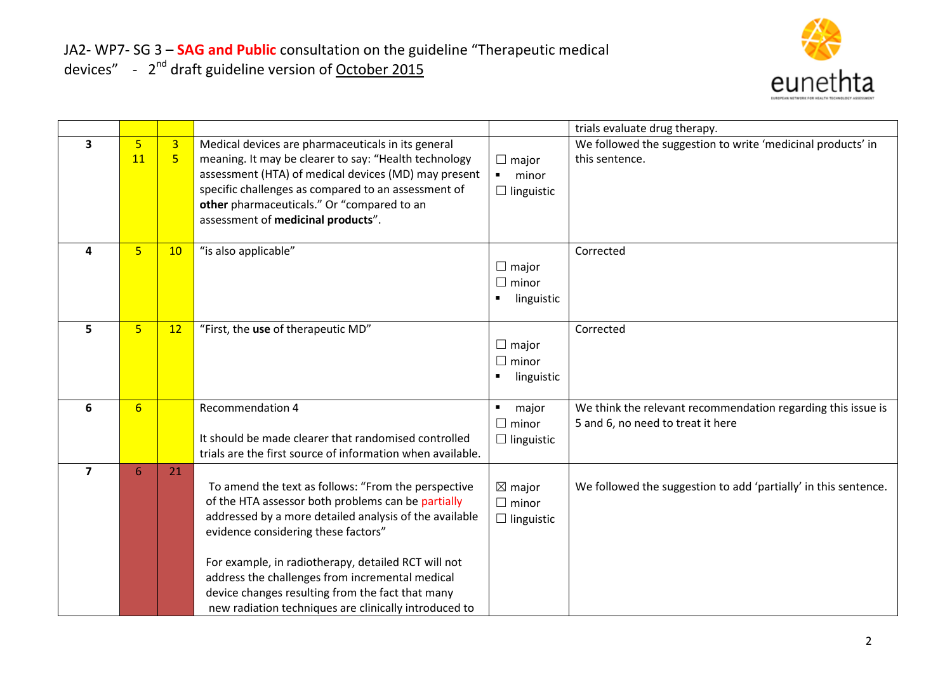

|                         |                      |                     |                                                                                                                                                                                                                                                                                                                                                                                                                                   |                                                              | trials evaluate drug therapy.                                                                     |
|-------------------------|----------------------|---------------------|-----------------------------------------------------------------------------------------------------------------------------------------------------------------------------------------------------------------------------------------------------------------------------------------------------------------------------------------------------------------------------------------------------------------------------------|--------------------------------------------------------------|---------------------------------------------------------------------------------------------------|
| 3                       | $\overline{5}$<br>11 | $\overline{3}$<br>5 | Medical devices are pharmaceuticals in its general<br>meaning. It may be clearer to say: "Health technology<br>assessment (HTA) of medical devices (MD) may present<br>specific challenges as compared to an assessment of<br>other pharmaceuticals." Or "compared to an<br>assessment of medicinal products".                                                                                                                    | $\Box$ major<br>minor<br>$\blacksquare$<br>$\Box$ linguistic | We followed the suggestion to write 'medicinal products' in<br>this sentence.                     |
| 4                       | 5                    | 10                  | "is also applicable"                                                                                                                                                                                                                                                                                                                                                                                                              | $\Box$ major<br>$\Box$ minor<br>linguistic                   | Corrected                                                                                         |
| 5                       | $5\phantom{a}$       | 12                  | "First, the use of therapeutic MD"                                                                                                                                                                                                                                                                                                                                                                                                | $\Box$ major<br>$\Box$ minor<br>linguistic<br>٠              | Corrected                                                                                         |
| 6                       | $6\overline{6}$      |                     | Recommendation 4<br>It should be made clearer that randomised controlled<br>trials are the first source of information when available.                                                                                                                                                                                                                                                                                            | major<br>$\blacksquare$<br>$\Box$ minor<br>$\Box$ linguistic | We think the relevant recommendation regarding this issue is<br>5 and 6, no need to treat it here |
| $\overline{\mathbf{z}}$ | 6                    | 21                  | To amend the text as follows: "From the perspective<br>of the HTA assessor both problems can be partially<br>addressed by a more detailed analysis of the available<br>evidence considering these factors"<br>For example, in radiotherapy, detailed RCT will not<br>address the challenges from incremental medical<br>device changes resulting from the fact that many<br>new radiation techniques are clinically introduced to | $\boxtimes$ major<br>$\Box$ minor<br>$\Box$ linguistic       | We followed the suggestion to add 'partially' in this sentence.                                   |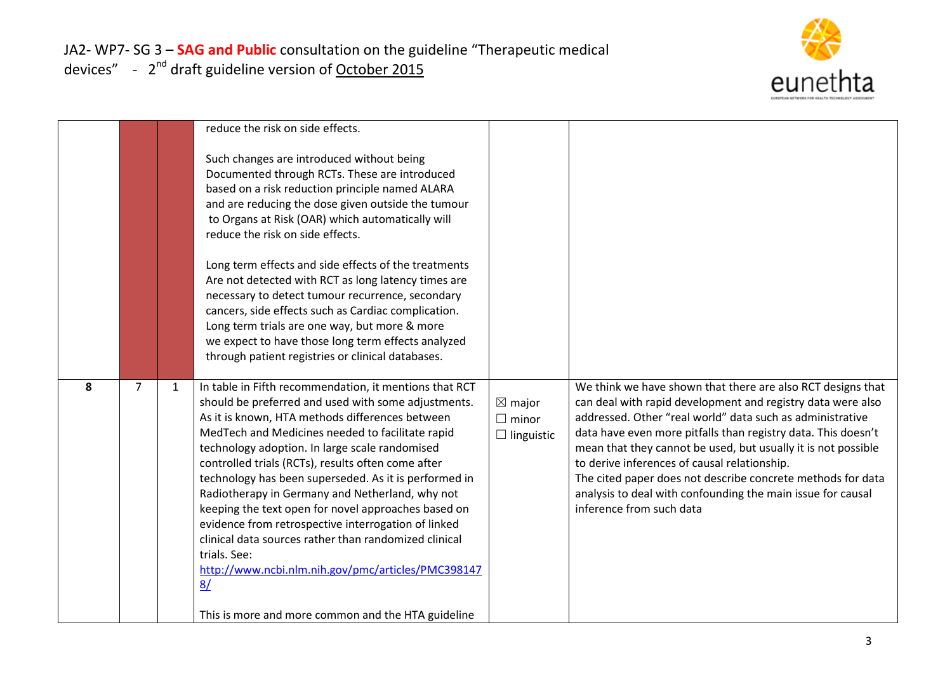

|   |                |   | reduce the risk on side effects.<br>Such changes are introduced without being<br>Documented through RCTs. These are introduced<br>based on a risk reduction principle named ALARA<br>and are reducing the dose given outside the tumour<br>to Organs at Risk (OAR) which automatically will<br>reduce the risk on side effects.<br>Long term effects and side effects of the treatments<br>Are not detected with RCT as long latency times are<br>necessary to detect tumour recurrence, secondary<br>cancers, side effects such as Cardiac complication.<br>Long term trials are one way, but more & more<br>we expect to have those long term effects analyzed<br>through patient registries or clinical databases.                             |                                                        |                                                                                                                                                                                                                                                                                                                                                                                                                                                                                                                                     |
|---|----------------|---|---------------------------------------------------------------------------------------------------------------------------------------------------------------------------------------------------------------------------------------------------------------------------------------------------------------------------------------------------------------------------------------------------------------------------------------------------------------------------------------------------------------------------------------------------------------------------------------------------------------------------------------------------------------------------------------------------------------------------------------------------|--------------------------------------------------------|-------------------------------------------------------------------------------------------------------------------------------------------------------------------------------------------------------------------------------------------------------------------------------------------------------------------------------------------------------------------------------------------------------------------------------------------------------------------------------------------------------------------------------------|
| 8 | $\overline{7}$ | 1 | In table in Fifth recommendation, it mentions that RCT<br>should be preferred and used with some adjustments.<br>As it is known, HTA methods differences between<br>MedTech and Medicines needed to facilitate rapid<br>technology adoption. In large scale randomised<br>controlled trials (RCTs), results often come after<br>technology has been superseded. As it is performed in<br>Radiotherapy in Germany and Netherland, why not<br>keeping the text open for novel approaches based on<br>evidence from retrospective interrogation of linked<br>clinical data sources rather than randomized clinical<br>trials. See:<br>http://www.ncbi.nlm.nih.gov/pmc/articles/PMC398147<br>8/<br>This is more and more common and the HTA guideline | $\boxtimes$ major<br>$\Box$ minor<br>$\Box$ linguistic | We think we have shown that there are also RCT designs that<br>can deal with rapid development and registry data were also<br>addressed. Other "real world" data such as administrative<br>data have even more pitfalls than registry data. This doesn't<br>mean that they cannot be used, but usually it is not possible<br>to derive inferences of causal relationship.<br>The cited paper does not describe concrete methods for data<br>analysis to deal with confounding the main issue for causal<br>inference from such data |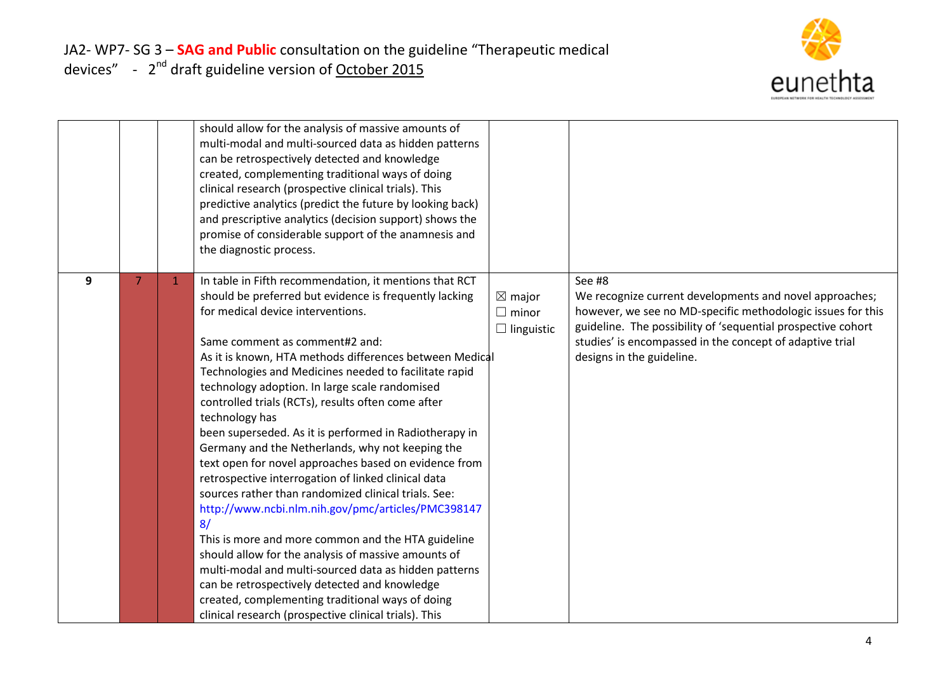

|   |    | should allow for the analysis of massive amounts of<br>multi-modal and multi-sourced data as hidden patterns<br>can be retrospectively detected and knowledge<br>created, complementing traditional ways of doing<br>clinical research (prospective clinical trials). This<br>predictive analytics (predict the future by looking back)<br>and prescriptive analytics (decision support) shows the<br>promise of considerable support of the anamnesis and<br>the diagnostic process.                                                                                                                                                                                                                                                                                                                                                                                                                                                                                                                                                                                                                                       |                                                        |                                                                                                                                                                                                                                                                                           |
|---|----|-----------------------------------------------------------------------------------------------------------------------------------------------------------------------------------------------------------------------------------------------------------------------------------------------------------------------------------------------------------------------------------------------------------------------------------------------------------------------------------------------------------------------------------------------------------------------------------------------------------------------------------------------------------------------------------------------------------------------------------------------------------------------------------------------------------------------------------------------------------------------------------------------------------------------------------------------------------------------------------------------------------------------------------------------------------------------------------------------------------------------------|--------------------------------------------------------|-------------------------------------------------------------------------------------------------------------------------------------------------------------------------------------------------------------------------------------------------------------------------------------------|
| 9 | -1 | In table in Fifth recommendation, it mentions that RCT<br>should be preferred but evidence is frequently lacking<br>for medical device interventions.<br>Same comment as comment#2 and:<br>As it is known, HTA methods differences between Medical<br>Technologies and Medicines needed to facilitate rapid<br>technology adoption. In large scale randomised<br>controlled trials (RCTs), results often come after<br>technology has<br>been superseded. As it is performed in Radiotherapy in<br>Germany and the Netherlands, why not keeping the<br>text open for novel approaches based on evidence from<br>retrospective interrogation of linked clinical data<br>sources rather than randomized clinical trials. See:<br>http://www.ncbi.nlm.nih.gov/pmc/articles/PMC398147<br>8/<br>This is more and more common and the HTA guideline<br>should allow for the analysis of massive amounts of<br>multi-modal and multi-sourced data as hidden patterns<br>can be retrospectively detected and knowledge<br>created, complementing traditional ways of doing<br>clinical research (prospective clinical trials). This | $\boxtimes$ major<br>$\Box$ minor<br>$\Box$ linguistic | See #8<br>We recognize current developments and novel approaches;<br>however, we see no MD-specific methodologic issues for this<br>guideline. The possibility of 'sequential prospective cohort<br>studies' is encompassed in the concept of adaptive trial<br>designs in the guideline. |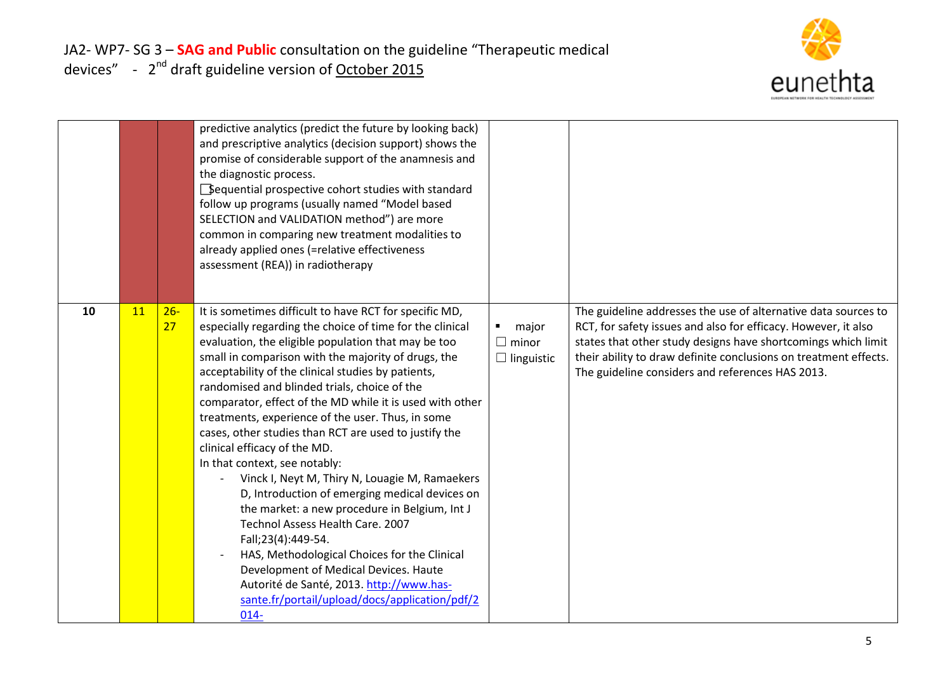

|    |    |              | predictive analytics (predict the future by looking back)<br>and prescriptive analytics (decision support) shows the<br>promise of considerable support of the anamnesis and<br>the diagnostic process.<br>Sequential prospective cohort studies with standard<br>follow up programs (usually named "Model based<br>SELECTION and VALIDATION method") are more<br>common in comparing new treatment modalities to<br>already applied ones (=relative effectiveness<br>assessment (REA)) in radiotherapy                                                                                                                                                                                                                                                                                                                                                                                                                                                                                            |                                                              |                                                                                                                                                                                                                                                                                                                           |
|----|----|--------------|----------------------------------------------------------------------------------------------------------------------------------------------------------------------------------------------------------------------------------------------------------------------------------------------------------------------------------------------------------------------------------------------------------------------------------------------------------------------------------------------------------------------------------------------------------------------------------------------------------------------------------------------------------------------------------------------------------------------------------------------------------------------------------------------------------------------------------------------------------------------------------------------------------------------------------------------------------------------------------------------------|--------------------------------------------------------------|---------------------------------------------------------------------------------------------------------------------------------------------------------------------------------------------------------------------------------------------------------------------------------------------------------------------------|
| 10 | 11 | $26 -$<br>27 | It is sometimes difficult to have RCT for specific MD,<br>especially regarding the choice of time for the clinical<br>evaluation, the eligible population that may be too<br>small in comparison with the majority of drugs, the<br>acceptability of the clinical studies by patients,<br>randomised and blinded trials, choice of the<br>comparator, effect of the MD while it is used with other<br>treatments, experience of the user. Thus, in some<br>cases, other studies than RCT are used to justify the<br>clinical efficacy of the MD.<br>In that context, see notably:<br>Vinck I, Neyt M, Thiry N, Louagie M, Ramaekers<br>D, Introduction of emerging medical devices on<br>the market: a new procedure in Belgium, Int J<br>Technol Assess Health Care. 2007<br>Fall;23(4):449-54.<br>HAS, Methodological Choices for the Clinical<br>Development of Medical Devices. Haute<br>Autorité de Santé, 2013. http://www.has-<br>sante.fr/portail/upload/docs/application/pdf/2<br>$014 -$ | major<br>$\blacksquare$<br>$\Box$ minor<br>$\Box$ linguistic | The guideline addresses the use of alternative data sources to<br>RCT, for safety issues and also for efficacy. However, it also<br>states that other study designs have shortcomings which limit<br>their ability to draw definite conclusions on treatment effects.<br>The guideline considers and references HAS 2013. |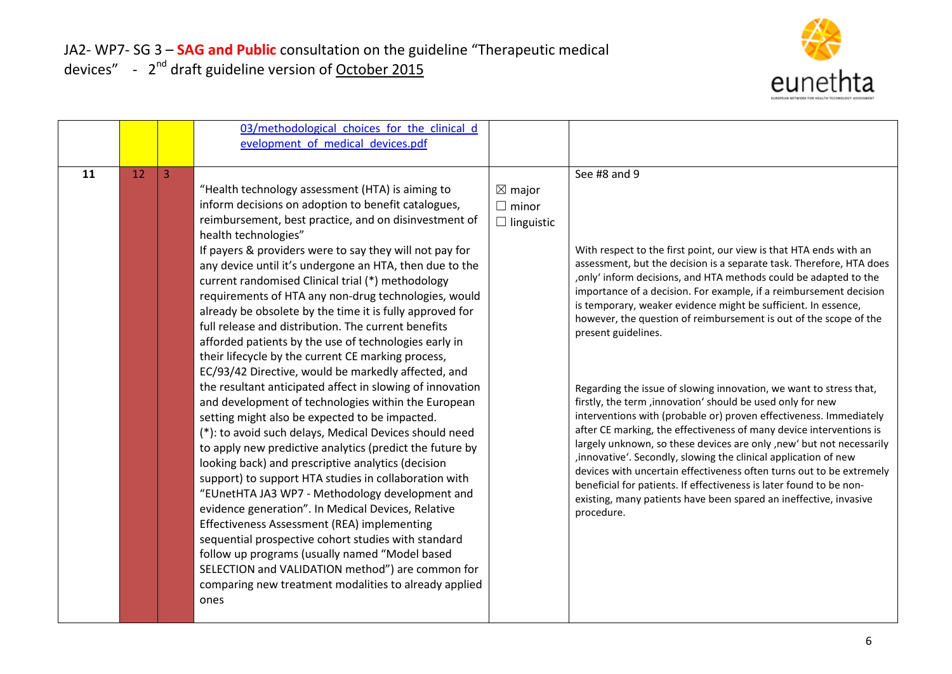

|    |    |   | 03/methodological choices for the clinical d<br>evelopment of medical devices.pdf                                                                                                                                                                                                                                                                                                                                                                                                                                                                                                                                                                                                                                                                                                                                                                                                                                                                                                                                                                                                                                                                                                                                                                                                                                                                                                                                                                                                                                     |                                                        |                                                                                                                                                                                                                                                                                                                                                                                                                                                                                                                                                                                                                                                                                                                                                                                                                                                                                                                                                                                                                                                                                                                                   |
|----|----|---|-----------------------------------------------------------------------------------------------------------------------------------------------------------------------------------------------------------------------------------------------------------------------------------------------------------------------------------------------------------------------------------------------------------------------------------------------------------------------------------------------------------------------------------------------------------------------------------------------------------------------------------------------------------------------------------------------------------------------------------------------------------------------------------------------------------------------------------------------------------------------------------------------------------------------------------------------------------------------------------------------------------------------------------------------------------------------------------------------------------------------------------------------------------------------------------------------------------------------------------------------------------------------------------------------------------------------------------------------------------------------------------------------------------------------------------------------------------------------------------------------------------------------|--------------------------------------------------------|-----------------------------------------------------------------------------------------------------------------------------------------------------------------------------------------------------------------------------------------------------------------------------------------------------------------------------------------------------------------------------------------------------------------------------------------------------------------------------------------------------------------------------------------------------------------------------------------------------------------------------------------------------------------------------------------------------------------------------------------------------------------------------------------------------------------------------------------------------------------------------------------------------------------------------------------------------------------------------------------------------------------------------------------------------------------------------------------------------------------------------------|
| 11 | 12 | 3 | "Health technology assessment (HTA) is aiming to<br>inform decisions on adoption to benefit catalogues,<br>reimbursement, best practice, and on disinvestment of<br>health technologies"<br>If payers & providers were to say they will not pay for<br>any device until it's undergone an HTA, then due to the<br>current randomised Clinical trial (*) methodology<br>requirements of HTA any non-drug technologies, would<br>already be obsolete by the time it is fully approved for<br>full release and distribution. The current benefits<br>afforded patients by the use of technologies early in<br>their lifecycle by the current CE marking process,<br>EC/93/42 Directive, would be markedly affected, and<br>the resultant anticipated affect in slowing of innovation<br>and development of technologies within the European<br>setting might also be expected to be impacted.<br>(*): to avoid such delays, Medical Devices should need<br>to apply new predictive analytics (predict the future by<br>looking back) and prescriptive analytics (decision<br>support) to support HTA studies in collaboration with<br>"EUnetHTA JA3 WP7 - Methodology development and<br>evidence generation". In Medical Devices, Relative<br>Effectiveness Assessment (REA) implementing<br>sequential prospective cohort studies with standard<br>follow up programs (usually named "Model based<br>SELECTION and VALIDATION method") are common for<br>comparing new treatment modalities to already applied<br>ones | $\boxtimes$ major<br>$\Box$ minor<br>$\Box$ linguistic | See #8 and 9<br>With respect to the first point, our view is that HTA ends with an<br>assessment, but the decision is a separate task. Therefore, HTA does<br>only' inform decisions, and HTA methods could be adapted to the<br>importance of a decision. For example, if a reimbursement decision<br>is temporary, weaker evidence might be sufficient. In essence,<br>however, the question of reimbursement is out of the scope of the<br>present guidelines.<br>Regarding the issue of slowing innovation, we want to stress that,<br>firstly, the term, innovation' should be used only for new<br>interventions with (probable or) proven effectiveness. Immediately<br>after CE marking, the effectiveness of many device interventions is<br>largely unknown, so these devices are only , new' but not necessarily<br>, innovative'. Secondly, slowing the clinical application of new<br>devices with uncertain effectiveness often turns out to be extremely<br>beneficial for patients. If effectiveness is later found to be non-<br>existing, many patients have been spared an ineffective, invasive<br>procedure. |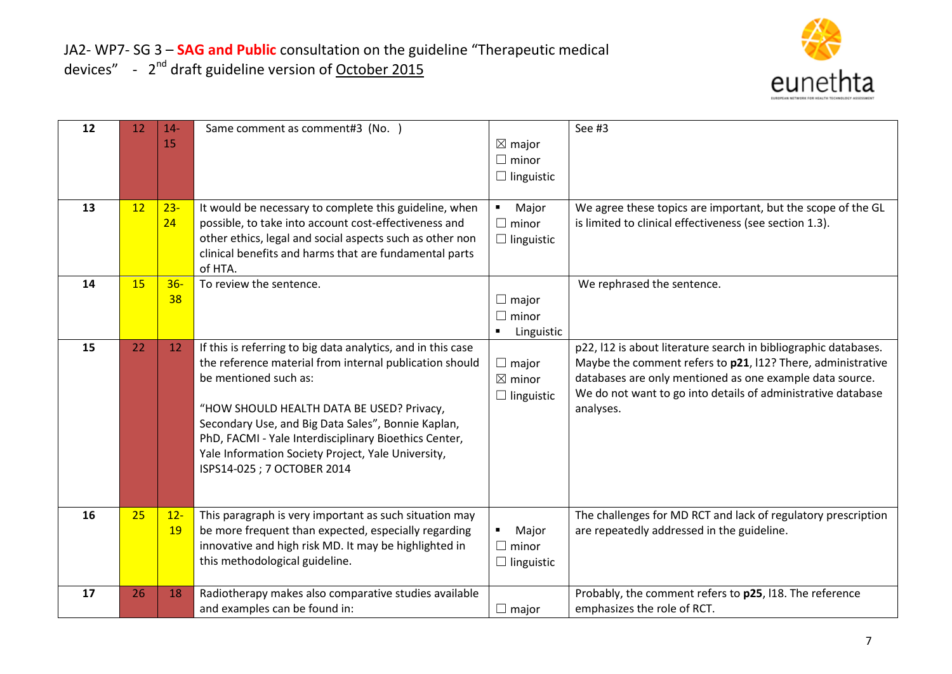

| 12 | 12 | $14-$     | Same comment as comment#3 (No. )                                                                            |                              | See #3                                                          |
|----|----|-----------|-------------------------------------------------------------------------------------------------------------|------------------------------|-----------------------------------------------------------------|
|    |    | 15        |                                                                                                             | $\boxtimes$ major            |                                                                 |
|    |    |           |                                                                                                             | $\Box$ minor                 |                                                                 |
|    |    |           |                                                                                                             | $\Box$ linguistic            |                                                                 |
|    |    |           |                                                                                                             |                              |                                                                 |
| 13 | 12 | $23 -$    | It would be necessary to complete this guideline, when                                                      | Major<br>$\blacksquare$      | We agree these topics are important, but the scope of the GL    |
|    |    | 24        | possible, to take into account cost-effectiveness and                                                       | $\Box$ minor                 | is limited to clinical effectiveness (see section 1.3).         |
|    |    |           | other ethics, legal and social aspects such as other non                                                    | $\Box$ linguistic            |                                                                 |
|    |    |           | clinical benefits and harms that are fundamental parts<br>of HTA.                                           |                              |                                                                 |
| 14 | 15 | $36 -$    | To review the sentence.                                                                                     |                              | We rephrased the sentence.                                      |
|    |    | 38        |                                                                                                             | $\Box$ major                 |                                                                 |
|    |    |           |                                                                                                             | $\Box$ minor                 |                                                                 |
|    |    |           |                                                                                                             | Linguistic<br>$\blacksquare$ |                                                                 |
| 15 | 22 | 12        | If this is referring to big data analytics, and in this case                                                |                              | p22, I12 is about literature search in bibliographic databases. |
|    |    |           | the reference material from internal publication should                                                     | $\Box$ major                 | Maybe the comment refers to p21, I12? There, administrative     |
|    |    |           | be mentioned such as:                                                                                       | $\boxtimes$ minor            | databases are only mentioned as one example data source.        |
|    |    |           |                                                                                                             | $\Box$ linguistic            | We do not want to go into details of administrative database    |
|    |    |           | "HOW SHOULD HEALTH DATA BE USED? Privacy,                                                                   |                              | analyses.                                                       |
|    |    |           | Secondary Use, and Big Data Sales", Bonnie Kaplan,                                                          |                              |                                                                 |
|    |    |           | PhD, FACMI - Yale Interdisciplinary Bioethics Center,<br>Yale Information Society Project, Yale University, |                              |                                                                 |
|    |    |           | ISPS14-025 ; 7 OCTOBER 2014                                                                                 |                              |                                                                 |
|    |    |           |                                                                                                             |                              |                                                                 |
|    |    |           |                                                                                                             |                              |                                                                 |
| 16 | 25 | $12 -$    | This paragraph is very important as such situation may                                                      |                              | The challenges for MD RCT and lack of regulatory prescription   |
|    |    | <b>19</b> | be more frequent than expected, especially regarding                                                        | Major                        | are repeatedly addressed in the guideline.                      |
|    |    |           | innovative and high risk MD. It may be highlighted in                                                       | $\Box$ minor                 |                                                                 |
|    |    |           | this methodological guideline.                                                                              | $\Box$ linguistic            |                                                                 |
|    |    |           |                                                                                                             |                              |                                                                 |
| 17 | 26 | 18        | Radiotherapy makes also comparative studies available                                                       |                              | Probably, the comment refers to p25, I18. The reference         |
|    |    |           | and examples can be found in:                                                                               | $\Box$ major                 | emphasizes the role of RCT.                                     |